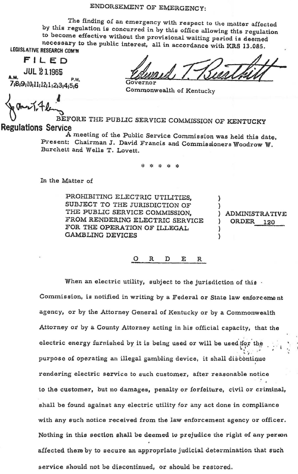## ENDORSEMENT OF EMERGENCY:

The finding of an emergency with respect to the matter affected by this regulation is concurred in by this office allowing this regulation to become effective without the provisional waiting period is deemed necessary to the public interest, all in accordance with KRS 13.085. LEGISLATIVE RESEARCH COM'N

FILED

**JUL 211965** P.M. 7,8,9,10,11,12,1,2,3,4,5,6

Commonwealth of Kentucky

BEFORE THE PUBLIC SERVICE COMMISSION OF KENTUCKY **Regulations Service** 

A meeting of the Public Service Commission was held this date. Present: Chairman J. David Francis and Commissioners Woodrow W. Burchett and Wells T. Lovett.

3/2 3/2 3/2 3/2 3/2

In the Matter of

PROHIBITING ELECTRIC UTILITIES, SUBJECT TO THE JURISDICTION OF THE PUBLIC SERVICE COMMISSION. FROM RENDERING ELECTRIC SERVICE FOR THE OPERATION OF ILLEGAL **GAMBLING DEVICES** 

**ADMINISTRATIVE** ORDER 120

 $\Omega$ R D  $\mathbf{E}$  $\mathbf R$ 

When an electric utility, subject to the jurisdiction of this. Commission, is notified in writing by a Federal or State law enforcement agency, or by the Attorney General of Kentucky or by a Commonwealth Attorney or by a County Attorney acting in his official capacity, that the electric energy furnished by it is being used or will be used for the purpose of operating an illegal gambling device, it shall discontinue rendering electric service to such customer, after reasonable notice to the customer, but no damages, penalty or forfeiture, civil or criminal, shall be found against any electric utility for any act done in compliance with any such notice received from the law enforcement agency or officer. Nothing in this section shall be deemed to prejudice the right of any person affected there by to secure an appropriate judicial determination that such service should not be discontinued, or should be restored.